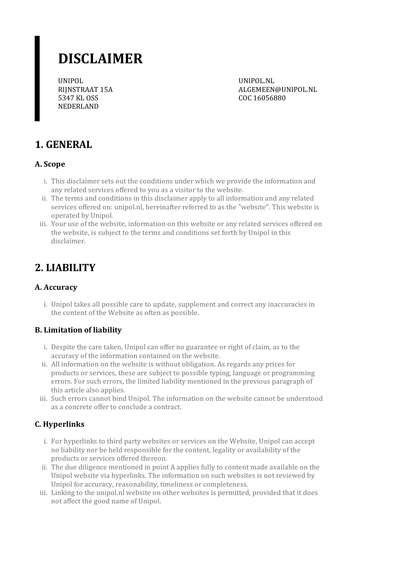# **DISCLAIMER**

UNIPOL RIJNSTRAAT 15A 5347 KL OSS NEDERLAND

UNIPOL.NL ALGEMEEN@UNIPOL.NL COC 16056880

# **1. GENERAL**

### **A. Scope**

- i. This disclaimer sets out the conditions under which we provide the information and any related services offered to you as a visitor to the website.
- ii. The terms and conditions in this disclaimer apply to all information and any related services offered on: unipol.nl, hereinafterreferred to as the "website". This website is operated by Unipol.
- iii. Your use of the website, information on this website or any related services offered on the website, is subject to the terms and conditions set forth by Unipol in this disclaimer.

## **2. LIABILITY**

### **A. Accuracy**

i. Unipol takes all possible care to update, supplement and correct any inaccuracies in the content of the Website as often as possible.

#### **B. Limitation of liability**

- i. Despite the care taken, Unipol can offer no guarantee or right of claim, as to the accuracy of the information contained on the website.
- ii. All information on the website is without obligation. As regards any prices for products or services, these are subject to possible typing, language or programming errors. Forsuch errors, the limited liability mentioned in the previous paragraph of this article also applies.
- iii. Such errors cannot bind Unipol. The information on the website cannot be understood as a concrete offerto conclude a contract.

### **C. Hyperlinks**

- i. For hyperlinks to third party websites or services on the Website, Unipol can accept no liability nor be held responsible forthe content, legality or availability of the products or services offered thereon.
- ii. The due diligence mentioned in point A applies fully to content made available on the Unipol website via hyperlinks. The information on such websites is not reviewed by Unipol for accuracy, reasonability, timeliness or completeness.
- iii. Linking to the unipol.nl website on other websites is permitted, provided that it does not affect the good name of Unipol.